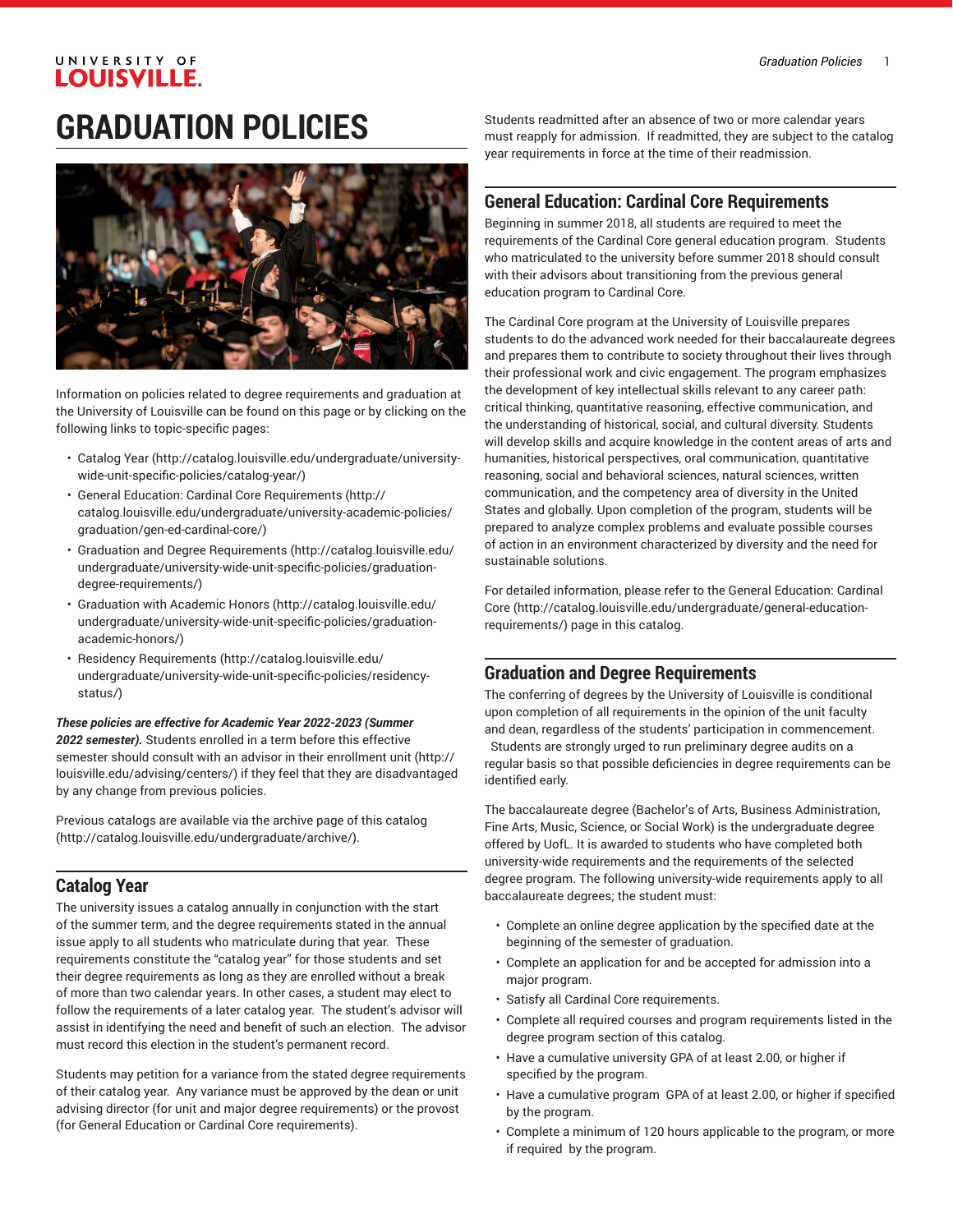### UNIVERSITY OF **LOUISVILLE.**

# **GRADUATION POLICIES**



Information on policies related to degree requirements and graduation at the University of Louisville can be found on this page or by clicking on the following links to topic-specific pages:

- [Catalog](http://catalog.louisville.edu/undergraduate/university-wide-unit-specific-policies/catalog-year/) Year [\(http://catalog.louisville.edu/undergraduate/university](http://catalog.louisville.edu/undergraduate/university-wide-unit-specific-policies/catalog-year/)[wide-unit-specific-policies/catalog-year/\)](http://catalog.louisville.edu/undergraduate/university-wide-unit-specific-policies/catalog-year/)
- General Education: Cardinal Core [Requirements](http://catalog.louisville.edu/undergraduate/university-academic-policies/graduation/gen-ed-cardinal-core/) ([http://](http://catalog.louisville.edu/undergraduate/university-academic-policies/graduation/gen-ed-cardinal-core/) [catalog.louisville.edu/undergraduate/university-academic-policies/](http://catalog.louisville.edu/undergraduate/university-academic-policies/graduation/gen-ed-cardinal-core/) [graduation/gen-ed-cardinal-core/\)](http://catalog.louisville.edu/undergraduate/university-academic-policies/graduation/gen-ed-cardinal-core/)
- Graduation and Degree [Requirements \(http://catalog.louisville.edu/](http://catalog.louisville.edu/undergraduate/university-wide-unit-specific-policies/graduation-degree-requirements/) [undergraduate/university-wide-unit-specific-policies/graduation](http://catalog.louisville.edu/undergraduate/university-wide-unit-specific-policies/graduation-degree-requirements/)[degree-requirements/](http://catalog.louisville.edu/undergraduate/university-wide-unit-specific-policies/graduation-degree-requirements/))
- [Graduation with Academic Honors](http://catalog.louisville.edu/undergraduate/university-wide-unit-specific-policies/graduation-academic-honors/) ([http://catalog.louisville.edu/](http://catalog.louisville.edu/undergraduate/university-wide-unit-specific-policies/graduation-academic-honors/) [undergraduate/university-wide-unit-specific-policies/graduation](http://catalog.louisville.edu/undergraduate/university-wide-unit-specific-policies/graduation-academic-honors/)[academic-honors/\)](http://catalog.louisville.edu/undergraduate/university-wide-unit-specific-policies/graduation-academic-honors/)
- Residency [Requirements](http://catalog.louisville.edu/undergraduate/university-wide-unit-specific-policies/residency-status/) [\(http://catalog.louisville.edu/](http://catalog.louisville.edu/undergraduate/university-wide-unit-specific-policies/residency-status/) [undergraduate/university-wide-unit-specific-policies/residency](http://catalog.louisville.edu/undergraduate/university-wide-unit-specific-policies/residency-status/)[status/](http://catalog.louisville.edu/undergraduate/university-wide-unit-specific-policies/residency-status/))

#### *These policies are effective for Academic Year 2022-2023 (Summer 2022 semester).* Students enrolled in a term before this effective semester should consult with an advisor in their [enrollment](http://louisville.edu/advising/centers/) unit [\(http://](http://louisville.edu/advising/centers/) [louisville.edu/advising/centers/](http://louisville.edu/advising/centers/)) if they feel that they are disadvantaged by any change from previous policies.

Previous catalogs are available via the archive page of this [catalog](http://catalog.louisville.edu/undergraduate/archive/) ([http://catalog.louisville.edu/undergraduate/archive/\)](http://catalog.louisville.edu/undergraduate/archive/).

# **Catalog Year**

The university issues a catalog annually in conjunction with the start of the summer term, and the degree requirements stated in the annual issue apply to all students who matriculate during that year. These requirements constitute the "catalog year" for those students and set their degree requirements as long as they are enrolled without a break of more than two calendar years. In other cases, a student may elect to follow the requirements of a later catalog year. The student's advisor will assist in identifying the need and benefit of such an election. The advisor must record this election in the student's permanent record.

Students may petition for a variance from the stated degree requirements of their catalog year. Any variance must be approved by the dean or unit advising director (for unit and major degree requirements) or the provost (for General Education or Cardinal Core requirements).

Students readmitted after an absence of two or more calendar years must reapply for admission. If readmitted, they are subject to the catalog year requirements in force at the time of their readmission.

#### **General Education: Cardinal Core Requirements**

Beginning in summer 2018, all students are required to meet the requirements of the Cardinal Core general education program. Students who matriculated to the university before summer 2018 should consult with their advisors about transitioning from the previous general education program to Cardinal Core.

The Cardinal Core program at the University of Louisville prepares students to do the advanced work needed for their baccalaureate degrees and prepares them to contribute to society throughout their lives through their professional work and civic engagement. The program emphasizes the development of key intellectual skills relevant to any career path: critical thinking, quantitative reasoning, effective communication, and the understanding of historical, social, and cultural diversity. Students will develop skills and acquire knowledge in the content areas of arts and humanities, historical perspectives, oral communication, quantitative reasoning, social and behavioral sciences, natural sciences, written communication, and the competency area of diversity in the United States and globally. Upon completion of the program, students will be prepared to analyze complex problems and evaluate possible courses of action in an environment characterized by diversity and the need for sustainable solutions.

For detailed information, please refer to the General [Education:](http://catalog.louisville.edu/undergraduate/general-education-requirements/) Cardinal [Core](http://catalog.louisville.edu/undergraduate/general-education-requirements/) ([http://catalog.louisville.edu/undergraduate/general-education](http://catalog.louisville.edu/undergraduate/general-education-requirements/)[requirements/](http://catalog.louisville.edu/undergraduate/general-education-requirements/)) page in this catalog.

# **Graduation and Degree Requirements**

The conferring of degrees by the University of Louisville is conditional upon completion of all requirements in the opinion of the unit faculty and dean, regardless of the students' participation in commencement. Students are strongly urged to run preliminary degree audits on a regular basis so that possible deficiencies in degree requirements can be identified early.

The baccalaureate degree (Bachelor's of Arts, Business Administration, Fine Arts, Music, Science, or Social Work) is the undergraduate degree offered by UofL. It is awarded to students who have completed both university-wide requirements and the requirements of the selected degree program. The following university-wide requirements apply to all baccalaureate degrees; the student must:

- Complete an online degree application by the specified date at the beginning of the semester of graduation.
- Complete an application for and be accepted for admission into a major program.
- Satisfy all Cardinal Core requirements.
- Complete all required courses and program requirements listed in the degree program section of this catalog.
- Have a cumulative university GPA of at least 2.00, or higher if specified by the program.
- Have a cumulative program GPA of at least 2.00, or higher if specified by the program.
- Complete a minimum of 120 hours applicable to the program, or more if required by the program.